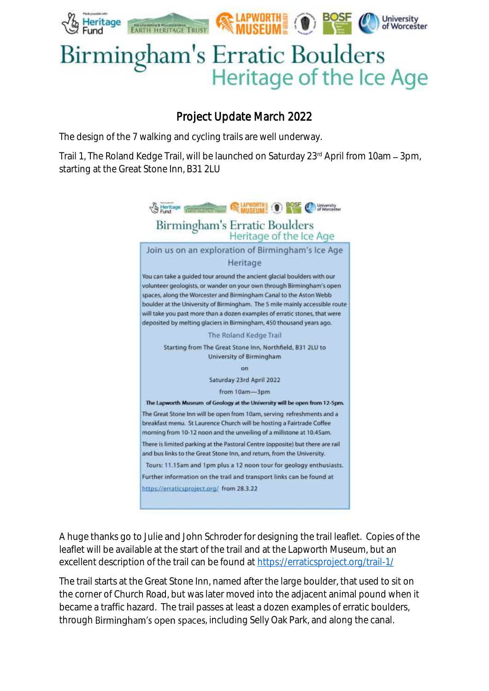

## Birmingham's Erratic Boulders Heritage of the Ice Age

## Project Update March 2022

The design of the 7 walking and cycling trails are well underway.

Trail 1, The Roland Kedge Trail, will be launched on Saturday 23rd April from 10am - 3pm, starting at the Great Stone Inn, B31 2LU



A huge thanks go to Julie and John Schroder for designing the trail leaflet. Copies of the leaflet will be available at the start of the trail and at the Lapworth Museum, but an excellent description of the trail can be found at<https://erraticsproject.org/trail-1/>

The trail starts at the Great Stone Inn, named after the large boulder, that used to sit on the corner of Church Road, but was later moved into the adjacent animal pound when it became a traffic hazard. The trail passes at least a dozen examples of erratic boulders, through Birmingham's open spaces, including Selly Oak Park, and along the canal.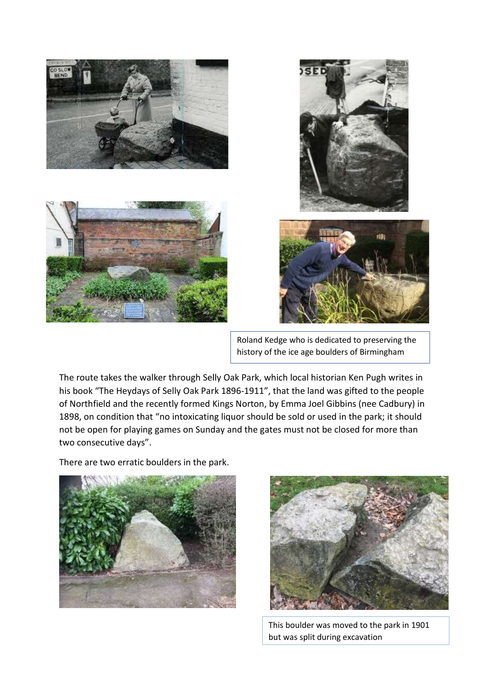







Roland Kedge who is dedicated to preserving the history of the ice age boulders of Birmingham

The route takes the walker through Selly Oak Park, which local historian Ken Pugh writes in his book "The Heydays of Selly Oak Park 1896-1911", that the land was gifted to the people of Northfield and the recently formed Kings Norton, by Emma Joel Gibbins (nee Cadbury) in 1898, on condition that "no intoxicating liquor should be sold or used in the park; it should not be open for playing games on Sunday and the gates must not be closed for more than two consecutive days".

There are two erratic boulders in the park.





This boulder was moved to the park in 1901 but was split during excavation